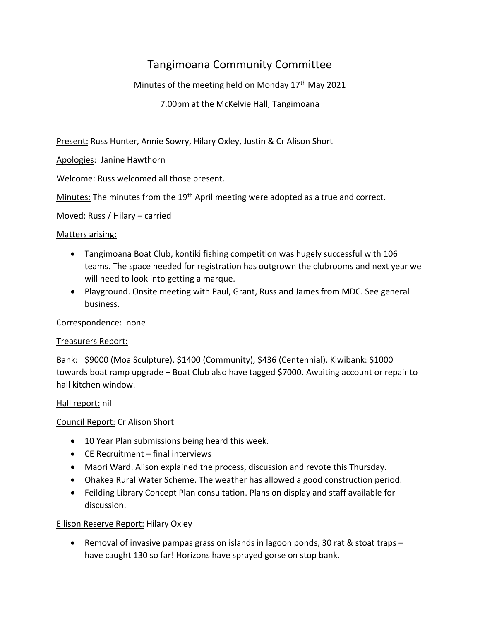# Tangimoana Community Committee

Minutes of the meeting held on Monday  $17<sup>th</sup>$  May 2021

7.00pm at the McKelvie Hall, Tangimoana

Present: Russ Hunter, Annie Sowry, Hilary Oxley, Justin & Cr Alison Short

Apologies: Janine Hawthorn

Welcome: Russ welcomed all those present.

Minutes: The minutes from the 19<sup>th</sup> April meeting were adopted as a true and correct.

Moved: Russ / Hilary – carried

#### Matters arising:

- Tangimoana Boat Club, kontiki fishing competition was hugely successful with 106 teams. The space needed for registration has outgrown the clubrooms and next year we will need to look into getting a marque.
- Playground. Onsite meeting with Paul, Grant, Russ and James from MDC. See general business.

## Correspondence: none

## Treasurers Report:

Bank: \$9000 (Moa Sculpture), \$1400 (Community), \$436 (Centennial). Kiwibank: \$1000 towards boat ramp upgrade + Boat Club also have tagged \$7000. Awaiting account or repair to hall kitchen window.

## Hall report: nil

## Council Report: Cr Alison Short

- 10 Year Plan submissions being heard this week.
- CE Recruitment final interviews
- Maori Ward. Alison explained the process, discussion and revote this Thursday.
- Ohakea Rural Water Scheme. The weather has allowed a good construction period.
- Feilding Library Concept Plan consultation. Plans on display and staff available for discussion.

## Ellison Reserve Report: Hilary Oxley

• Removal of invasive pampas grass on islands in lagoon ponds, 30 rat & stoat traps – have caught 130 so far! Horizons have sprayed gorse on stop bank.